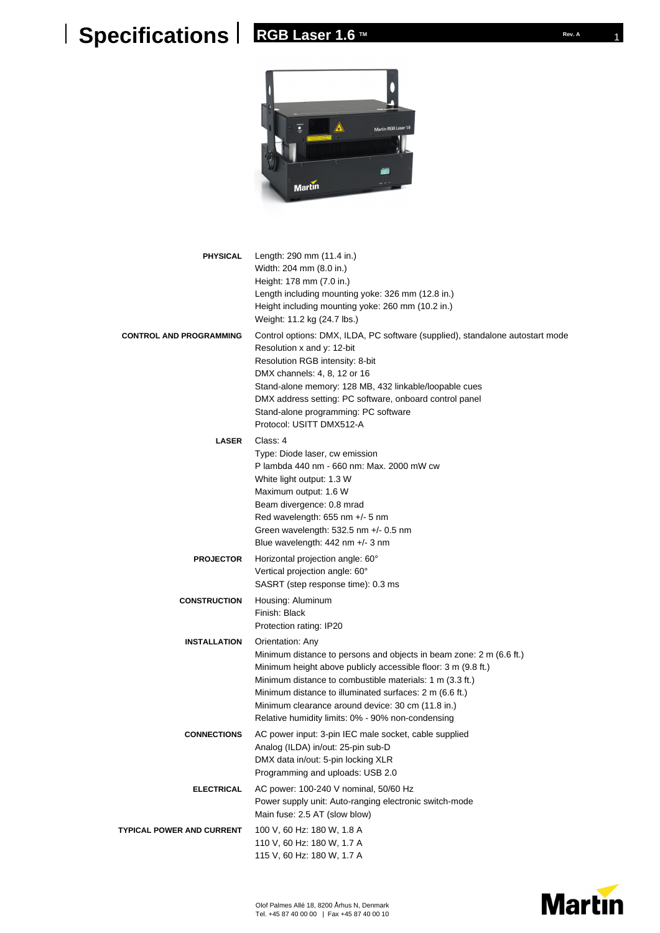## **RGB Laser 1.6 TM REP REV. A** Rev. A



| <b>PHYSICAL</b>                  | Length: 290 mm (11.4 in.)<br>Width: 204 mm (8.0 in.)<br>Height: 178 mm (7.0 in.)<br>Length including mounting yoke: 326 mm (12.8 in.)<br>Height including mounting yoke: 260 mm (10.2 in.)<br>Weight: 11.2 kg (24.7 lbs.)                                                                                                                                                                 |
|----------------------------------|-------------------------------------------------------------------------------------------------------------------------------------------------------------------------------------------------------------------------------------------------------------------------------------------------------------------------------------------------------------------------------------------|
| <b>CONTROL AND PROGRAMMING</b>   | Control options: DMX, ILDA, PC software (supplied), standalone autostart mode<br>Resolution x and y: 12-bit<br>Resolution RGB intensity: 8-bit<br>DMX channels: 4, 8, 12 or 16<br>Stand-alone memory: 128 MB, 432 linkable/loopable cues<br>DMX address setting: PC software, onboard control panel<br>Stand-alone programming: PC software<br>Protocol: USITT DMX512-A                   |
| <b>LASER</b>                     | Class: 4<br>Type: Diode laser, cw emission<br>P lambda 440 nm - 660 nm: Max. 2000 mW cw<br>White light output: 1.3 W<br>Maximum output: 1.6 W<br>Beam divergence: 0.8 mrad<br>Red wavelength: 655 nm +/- 5 nm<br>Green wavelength: $532.5$ nm $+/- 0.5$ nm<br>Blue wavelength: 442 nm +/- 3 nm                                                                                            |
| <b>PROJECTOR</b>                 | Horizontal projection angle: 60°<br>Vertical projection angle: 60°<br>SASRT (step response time): 0.3 ms                                                                                                                                                                                                                                                                                  |
| <b>CONSTRUCTION</b>              | Housing: Aluminum<br>Finish: Black<br>Protection rating: IP20                                                                                                                                                                                                                                                                                                                             |
| <b>INSTALLATION</b>              | Orientation: Any<br>Minimum distance to persons and objects in beam zone: 2 m (6.6 ft.)<br>Minimum height above publicly accessible floor: 3 m (9.8 ft.)<br>Minimum distance to combustible materials: 1 m (3.3 ft.)<br>Minimum distance to illuminated surfaces: 2 m (6.6 ft.)<br>Minimum clearance around device: 30 cm (11.8 in.)<br>Relative humidity limits: 0% - 90% non-condensing |
| <b>CONNECTIONS</b>               | AC power input: 3-pin IEC male socket, cable supplied<br>Analog (ILDA) in/out: 25-pin sub-D<br>DMX data in/out: 5-pin locking XLR<br>Programming and uploads: USB 2.0                                                                                                                                                                                                                     |
| ELECTRICAL                       | AC power: 100-240 V nominal, 50/60 Hz<br>Power supply unit: Auto-ranging electronic switch-mode<br>Main fuse: 2.5 AT (slow blow)                                                                                                                                                                                                                                                          |
| <b>TYPICAL POWER AND CURRENT</b> | 100 V, 60 Hz: 180 W, 1.8 A<br>110 V, 60 Hz: 180 W, 1.7 A<br>115 V, 60 Hz: 180 W, 1.7 A                                                                                                                                                                                                                                                                                                    |